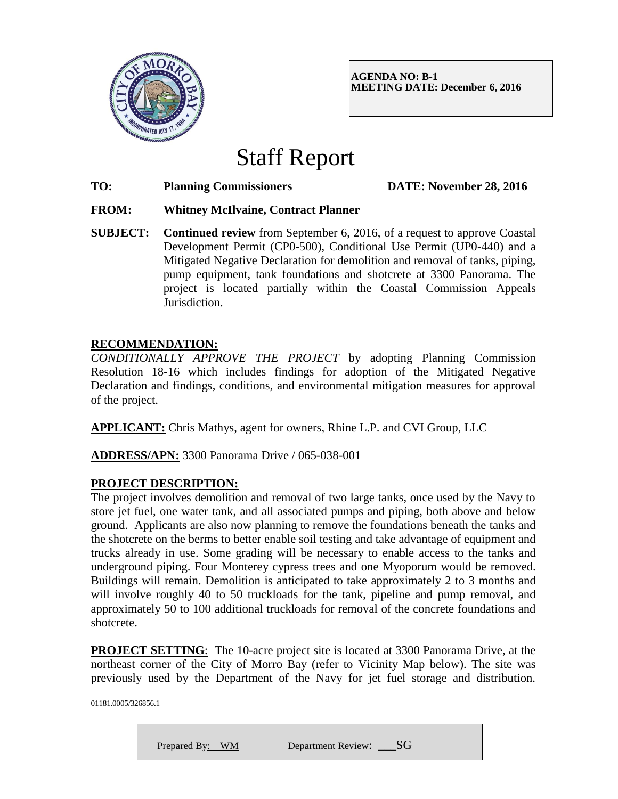

**AGENDA NO: B-1 MEETING DATE: December 6, 2016**

# Staff Report

**TO: Planning Commissioners DATE: November 28, 2016**

# **FROM: Whitney McIlvaine, Contract Planner**

**SUBJECT: Continued review** from September 6, 2016, of a request to approve Coastal Development Permit (CP0-500), Conditional Use Permit (UP0-440) and a Mitigated Negative Declaration for demolition and removal of tanks, piping, pump equipment, tank foundations and shotcrete at 3300 Panorama. The project is located partially within the Coastal Commission Appeals Jurisdiction.

# **RECOMMENDATION:**

*CONDITIONALLY APPROVE THE PROJECT* by adopting Planning Commission Resolution 18-16 which includes findings for adoption of the Mitigated Negative Declaration and findings, conditions, and environmental mitigation measures for approval of the project.

**APPLICANT:** Chris Mathys, agent for owners, Rhine L.P. and CVI Group, LLC

**ADDRESS/APN:** 3300 Panorama Drive / 065-038-001

# **PROJECT DESCRIPTION:**

The project involves demolition and removal of two large tanks, once used by the Navy to store jet fuel, one water tank, and all associated pumps and piping, both above and below ground. Applicants are also now planning to remove the foundations beneath the tanks and the shotcrete on the berms to better enable soil testing and take advantage of equipment and trucks already in use. Some grading will be necessary to enable access to the tanks and underground piping. Four Monterey cypress trees and one Myoporum would be removed. Buildings will remain. Demolition is anticipated to take approximately 2 to 3 months and will involve roughly 40 to 50 truckloads for the tank, pipeline and pump removal, and approximately 50 to 100 additional truckloads for removal of the concrete foundations and shotcrete.

**PROJECT SETTING:** The 10-acre project site is located at 3300 Panorama Drive, at the northeast corner of the City of Morro Bay (refer to Vicinity Map below). The site was previously used by the Department of the Navy for jet fuel storage and distribution.

01181.0005/326856.1

Prepared By: WM Department Review:  $SG$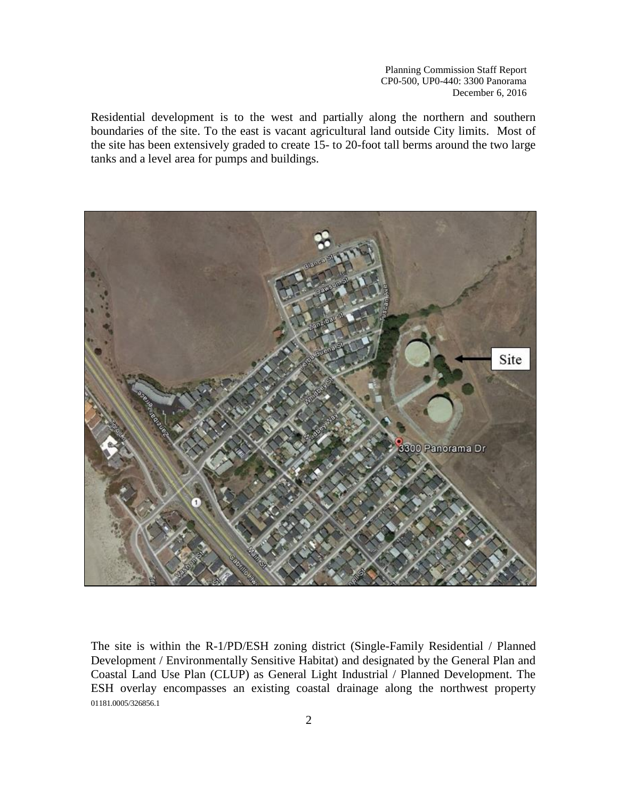Residential development is to the west and partially along the northern and southern boundaries of the site. To the east is vacant agricultural land outside City limits. Most of the site has been extensively graded to create 15- to 20-foot tall berms around the two large tanks and a level area for pumps and buildings.



01181.0005/326856.1 The site is within the R-1/PD/ESH zoning district (Single-Family Residential / Planned Development / Environmentally Sensitive Habitat) and designated by the General Plan and Coastal Land Use Plan (CLUP) as General Light Industrial / Planned Development. The ESH overlay encompasses an existing coastal drainage along the northwest property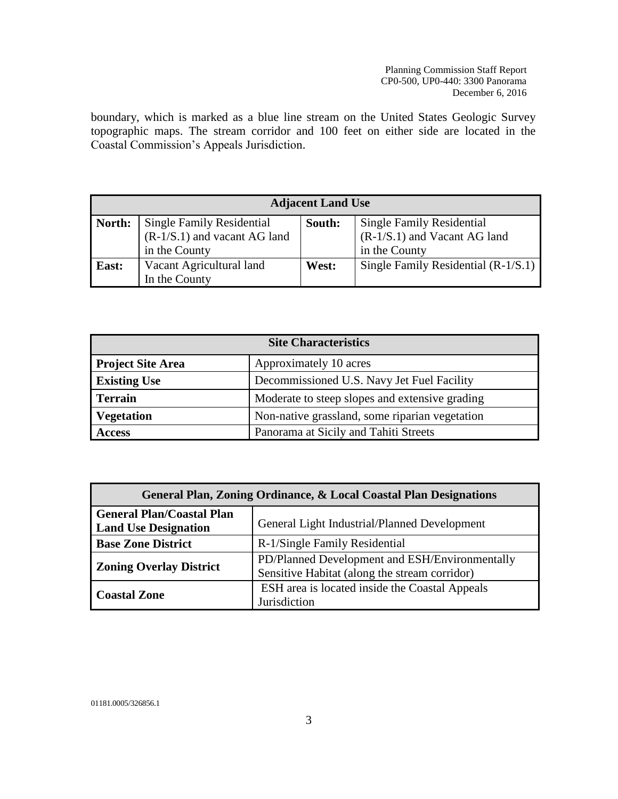boundary, which is marked as a blue line stream on the United States Geologic Survey topographic maps. The stream corridor and 100 feet on either side are located in the Coastal Commission's Appeals Jurisdiction.

| <b>Adjacent Land Use</b> |                                  |        |                                       |
|--------------------------|----------------------------------|--------|---------------------------------------|
| North:                   | <b>Single Family Residential</b> | South: | <b>Single Family Residential</b>      |
|                          | $(R-1/S.1)$ and vacant AG land   |        | $(R-1/S.1)$ and Vacant AG land        |
|                          | in the County                    |        | in the County                         |
| East:                    | Vacant Agricultural land         | West:  | Single Family Residential $(R-1/S.1)$ |
|                          | In the County                    |        |                                       |

| <b>Site Characteristics</b> |                                                |  |
|-----------------------------|------------------------------------------------|--|
| <b>Project Site Area</b>    | Approximately 10 acres                         |  |
| <b>Existing Use</b>         | Decommissioned U.S. Navy Jet Fuel Facility     |  |
| <b>Terrain</b>              | Moderate to steep slopes and extensive grading |  |
| <b>Vegetation</b>           | Non-native grassland, some riparian vegetation |  |
| <b>Access</b>               | Panorama at Sicily and Tahiti Streets          |  |

| General Plan, Zoning Ordinance, & Local Coastal Plan Designations |                                                                                                 |  |  |
|-------------------------------------------------------------------|-------------------------------------------------------------------------------------------------|--|--|
| <b>General Plan/Coastal Plan</b><br><b>Land Use Designation</b>   | General Light Industrial/Planned Development                                                    |  |  |
| <b>Base Zone District</b>                                         | R-1/Single Family Residential                                                                   |  |  |
| <b>Zoning Overlay District</b>                                    | PD/Planned Development and ESH/Environmentally<br>Sensitive Habitat (along the stream corridor) |  |  |
| <b>Coastal Zone</b>                                               | ESH area is located inside the Coastal Appeals<br>Jurisdiction                                  |  |  |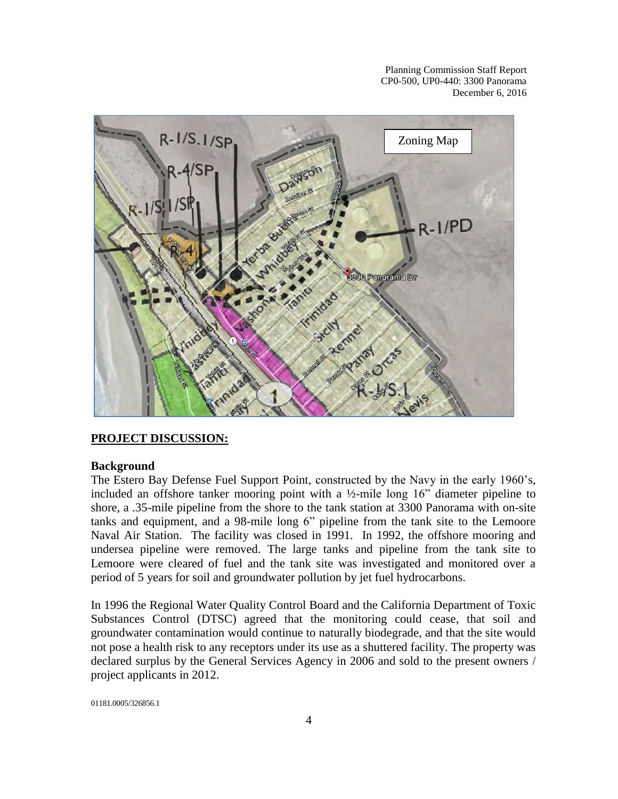

# **PROJECT DISCUSSION:**

#### **Background**

The Estero Bay Defense Fuel Support Point, constructed by the Navy in the early 1960's, included an offshore tanker mooring point with a ½-mile long 16" diameter pipeline to shore, a .35-mile pipeline from the shore to the tank station at 3300 Panorama with on-site tanks and equipment, and a 98-mile long 6" pipeline from the tank site to the Lemoore Naval Air Station. The facility was closed in 1991. In 1992, the offshore mooring and undersea pipeline were removed. The large tanks and pipeline from the tank site to Lemoore were cleared of fuel and the tank site was investigated and monitored over a period of 5 years for soil and groundwater pollution by jet fuel hydrocarbons.

In 1996 the Regional Water Quality Control Board and the California Department of Toxic Substances Control (DTSC) agreed that the monitoring could cease, that soil and groundwater contamination would continue to naturally biodegrade, and that the site would not pose a health risk to any receptors under its use as a shuttered facility. The property was declared surplus by the General Services Agency in 2006 and sold to the present owners / project applicants in 2012.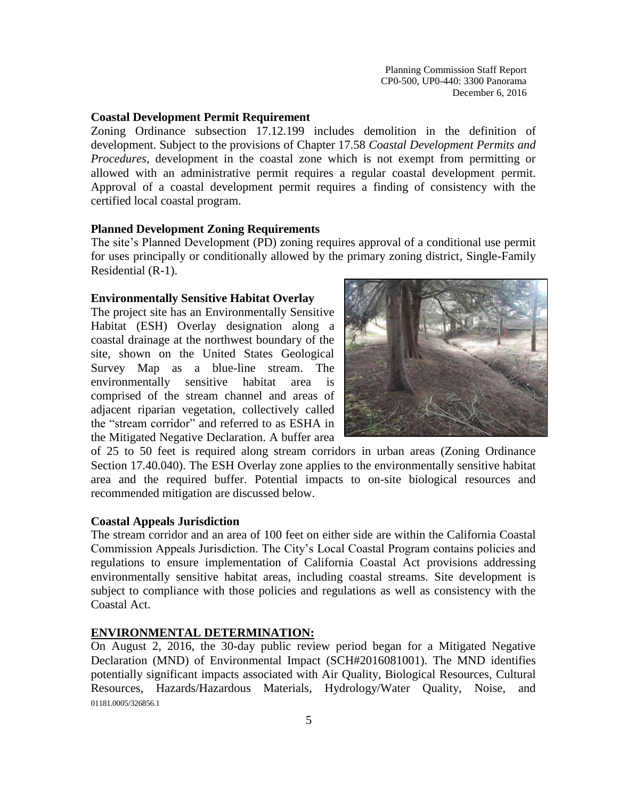#### **Coastal Development Permit Requirement**

Zoning Ordinance subsection 17.12.199 includes demolition in the definition of development. Subject to the provisions of Chapter 17.58 *Coastal Development Permits and Procedures*, development in the coastal zone which is not exempt from permitting or allowed with an administrative permit requires a regular coastal development permit. Approval of a coastal development permit requires a finding of consistency with the certified local coastal program.

#### **Planned Development Zoning Requirements**

The site's Planned Development (PD) zoning requires approval of a conditional use permit for uses principally or conditionally allowed by the primary zoning district, Single-Family Residential (R-1).

#### **Environmentally Sensitive Habitat Overlay**

The project site has an Environmentally Sensitive Habitat (ESH) Overlay designation along a coastal drainage at the northwest boundary of the site, shown on the United States Geological Survey Map as a blue-line stream. The environmentally sensitive habitat area is comprised of the stream channel and areas of adjacent riparian vegetation, collectively called the "stream corridor" and referred to as ESHA in the Mitigated Negative Declaration. A buffer area



of 25 to 50 feet is required along stream corridors in urban areas (Zoning Ordinance Section 17.40.040). The ESH Overlay zone applies to the environmentally sensitive habitat area and the required buffer. Potential impacts to on-site biological resources and recommended mitigation are discussed below.

#### **Coastal Appeals Jurisdiction**

The stream corridor and an area of 100 feet on either side are within the California Coastal Commission Appeals Jurisdiction. The City's Local Coastal Program contains policies and regulations to ensure implementation of California Coastal Act provisions addressing environmentally sensitive habitat areas, including coastal streams. Site development is subject to compliance with those policies and regulations as well as consistency with the Coastal Act.

#### **ENVIRONMENTAL DETERMINATION:**

01181.0005/326856.1 On August 2, 2016, the 30-day public review period began for a Mitigated Negative Declaration (MND) of Environmental Impact (SCH#2016081001). The MND identifies potentially significant impacts associated with Air Quality, Biological Resources, Cultural Resources, Hazards/Hazardous Materials, Hydrology/Water Quality, Noise, and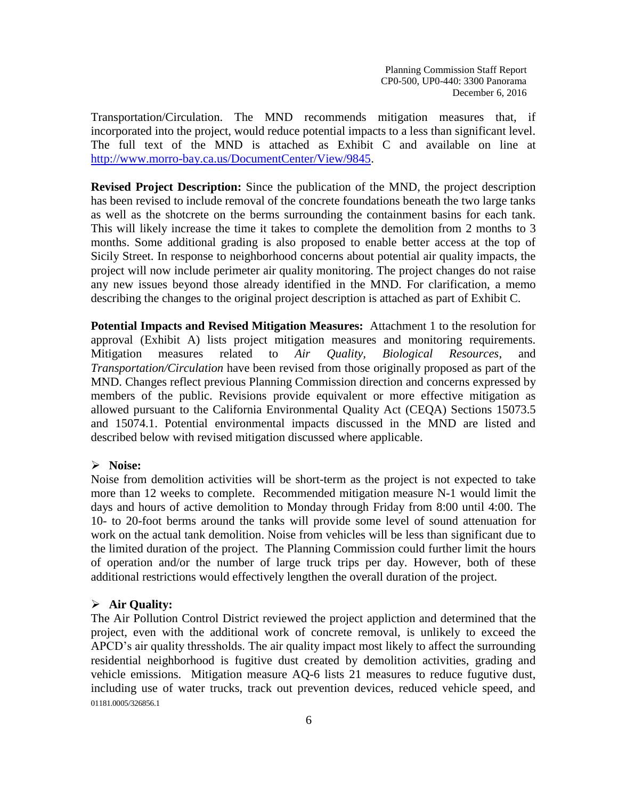Transportation/Circulation. The MND recommends mitigation measures that, if incorporated into the project, would reduce potential impacts to a less than significant level. The full text of the MND is attached as Exhibit C and available on line at [http://www.morro-bay.ca.us/DocumentCenter/View/9845.](http://www.morro-bay.ca.us/DocumentCenter/View/9845)

**Revised Project Description:** Since the publication of the MND, the project description has been revised to include removal of the concrete foundations beneath the two large tanks as well as the shotcrete on the berms surrounding the containment basins for each tank. This will likely increase the time it takes to complete the demolition from 2 months to 3 months. Some additional grading is also proposed to enable better access at the top of Sicily Street. In response to neighborhood concerns about potential air quality impacts, the project will now include perimeter air quality monitoring. The project changes do not raise any new issues beyond those already identified in the MND. For clarification, a memo describing the changes to the original project description is attached as part of Exhibit C.

**Potential Impacts and Revised Mitigation Measures:** Attachment 1 to the resolution for approval (Exhibit A) lists project mitigation measures and monitoring requirements. Mitigation measures related to *Air Quality, Biological Resources*, and *Transportation/Circulation* have been revised from those originally proposed as part of the MND. Changes reflect previous Planning Commission direction and concerns expressed by members of the public. Revisions provide equivalent or more effective mitigation as allowed pursuant to the California Environmental Quality Act (CEQA) Sections 15073.5 and 15074.1. Potential environmental impacts discussed in the MND are listed and described below with revised mitigation discussed where applicable.

# **Noise:**

Noise from demolition activities will be short-term as the project is not expected to take more than 12 weeks to complete. Recommended mitigation measure N-1 would limit the days and hours of active demolition to Monday through Friday from 8:00 until 4:00. The 10- to 20-foot berms around the tanks will provide some level of sound attenuation for work on the actual tank demolition. Noise from vehicles will be less than significant due to the limited duration of the project.The Planning Commission could further limit the hours of operation and/or the number of large truck trips per day. However, both of these additional restrictions would effectively lengthen the overall duration of the project.

#### **Air Quality:**

01181.0005/326856.1 The Air Pollution Control District reviewed the project appliction and determined that the project, even with the additional work of concrete removal, is unlikely to exceed the APCD's air quality thressholds. The air quality impact most likely to affect the surrounding residential neighborhood is fugitive dust created by demolition activities, grading and vehicle emissions. Mitigation measure AQ-6 lists 21 measures to reduce fugutive dust, including use of water trucks, track out prevention devices, reduced vehicle speed, and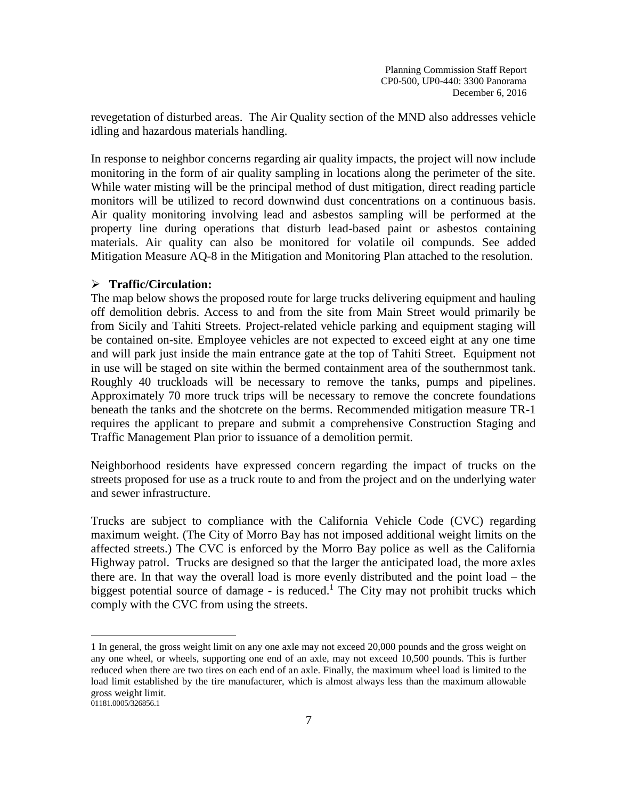revegetation of disturbed areas. The Air Quality section of the MND also addresses vehicle idling and hazardous materials handling.

In response to neighbor concerns regarding air quality impacts, the project will now include monitoring in the form of air quality sampling in locations along the perimeter of the site. While water misting will be the principal method of dust mitigation, direct reading particle monitors will be utilized to record downwind dust concentrations on a continuous basis. Air quality monitoring involving lead and asbestos sampling will be performed at the property line during operations that disturb lead-based paint or asbestos containing materials. Air quality can also be monitored for volatile oil compunds. See added Mitigation Measure AQ-8 in the Mitigation and Monitoring Plan attached to the resolution.

# **Traffic/Circulation:**

The map below shows the proposed route for large trucks delivering equipment and hauling off demolition debris. Access to and from the site from Main Street would primarily be from Sicily and Tahiti Streets. Project-related vehicle parking and equipment staging will be contained on-site. Employee vehicles are not expected to exceed eight at any one time and will park just inside the main entrance gate at the top of Tahiti Street. Equipment not in use will be staged on site within the bermed containment area of the southernmost tank. Roughly 40 truckloads will be necessary to remove the tanks, pumps and pipelines. Approximately 70 more truck trips will be necessary to remove the concrete foundations beneath the tanks and the shotcrete on the berms. Recommended mitigation measure TR-1 requires the applicant to prepare and submit a comprehensive Construction Staging and Traffic Management Plan prior to issuance of a demolition permit.

Neighborhood residents have expressed concern regarding the impact of trucks on the streets proposed for use as a truck route to and from the project and on the underlying water and sewer infrastructure.

Trucks are subject to compliance with the California Vehicle Code (CVC) regarding maximum weight. (The City of Morro Bay has not imposed additional weight limits on the affected streets.) The CVC is enforced by the Morro Bay police as well as the California Highway patrol. Trucks are designed so that the larger the anticipated load, the more axles there are. In that way the overall load is more evenly distributed and the point load – the biggest potential source of damage - is reduced.<sup>1</sup> The City may not prohibit trucks which comply with the CVC from using the streets.

 $\overline{a}$ 

<sup>1</sup> In general, the gross weight limit on any one axle may not exceed 20,000 pounds and the gross weight on any one wheel, or wheels, supporting one end of an axle, may not exceed 10,500 pounds. This is further reduced when there are two tires on each end of an axle. Finally, the maximum wheel load is limited to the load limit established by the tire manufacturer, which is almost always less than the maximum allowable gross weight limit.

<sup>01181.0005/326856.1</sup>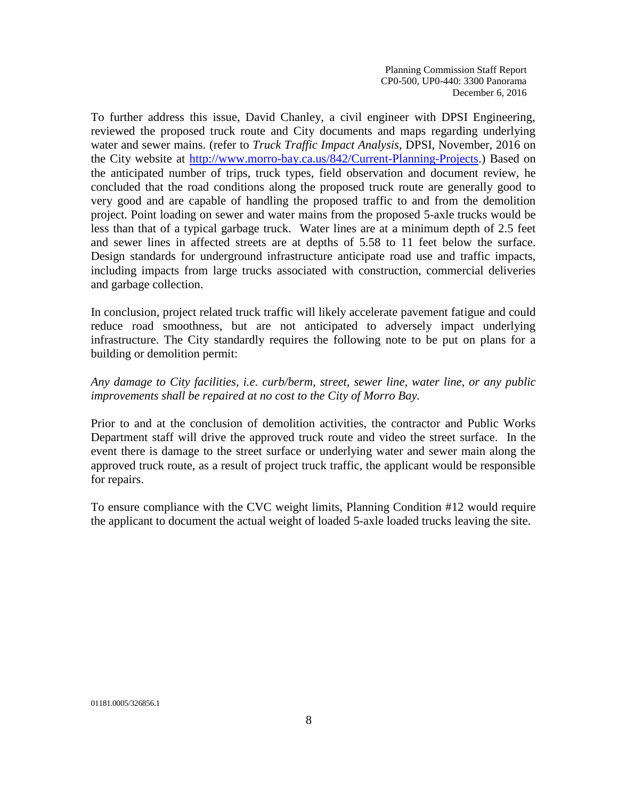To further address this issue, David Chanley, a civil engineer with DPSI Engineering, reviewed the proposed truck route and City documents and maps regarding underlying water and sewer mains. (refer to *Truck Traffic Impact Analysis*, DPSI, November, 2016 on the City website at [http://www.morro-bay.ca.us/842/Current-Planning-Projects.](http://www.morro-bay.ca.us/842/Current-Planning-Projects)) Based on the anticipated number of trips, truck types, field observation and document review, he concluded that the road conditions along the proposed truck route are generally good to very good and are capable of handling the proposed traffic to and from the demolition project. Point loading on sewer and water mains from the proposed 5-axle trucks would be less than that of a typical garbage truck. Water lines are at a minimum depth of 2.5 feet and sewer lines in affected streets are at depths of 5.58 to 11 feet below the surface. Design standards for underground infrastructure anticipate road use and traffic impacts, including impacts from large trucks associated with construction, commercial deliveries and garbage collection.

In conclusion, project related truck traffic will likely accelerate pavement fatigue and could reduce road smoothness, but are not anticipated to adversely impact underlying infrastructure. The City standardly requires the following note to be put on plans for a building or demolition permit:

#### *Any damage to City facilities, i.e. curb/berm, street, sewer line, water line, or any public improvements shall be repaired at no cost to the City of Morro Bay.*

Prior to and at the conclusion of demolition activities, the contractor and Public Works Department staff will drive the approved truck route and video the street surface. In the event there is damage to the street surface or underlying water and sewer main along the approved truck route, as a result of project truck traffic, the applicant would be responsible for repairs.

To ensure compliance with the CVC weight limits, Planning Condition #12 would require the applicant to document the actual weight of loaded 5-axle loaded trucks leaving the site.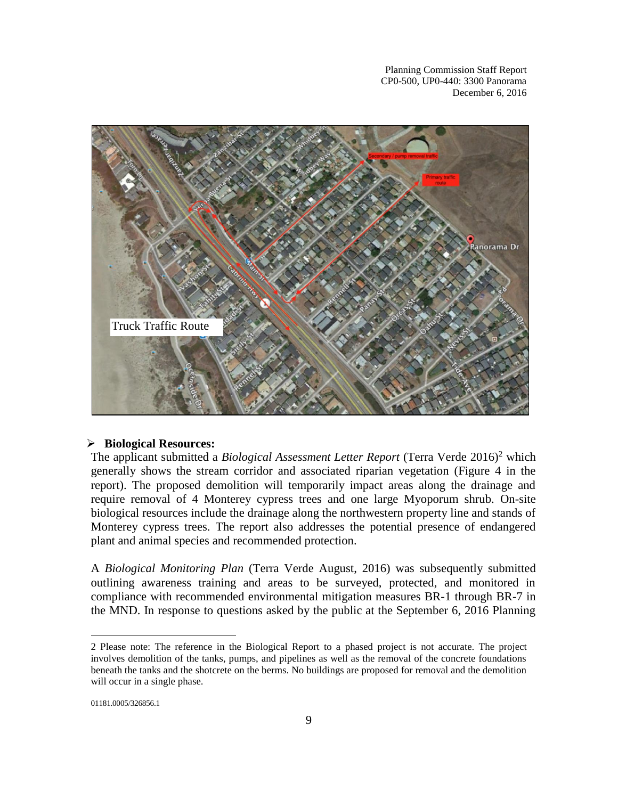

#### **Biological Resources:**

The applicant submitted a *Biological Assessment Letter Report* (Terra Verde 2016)<sup>2</sup> which generally shows the stream corridor and associated riparian vegetation (Figure 4 in the report). The proposed demolition will temporarily impact areas along the drainage and require removal of 4 Monterey cypress trees and one large Myoporum shrub. On-site biological resources include the drainage along the northwestern property line and stands of Monterey cypress trees. The report also addresses the potential presence of endangered plant and animal species and recommended protection.

A *Biological Monitoring Plan* (Terra Verde August, 2016) was subsequently submitted outlining awareness training and areas to be surveyed, protected, and monitored in compliance with recommended environmental mitigation measures BR-1 through BR-7 in the MND. In response to questions asked by the public at the September 6, 2016 Planning

 $\overline{a}$ 

<sup>2</sup> Please note: The reference in the Biological Report to a phased project is not accurate. The project involves demolition of the tanks, pumps, and pipelines as well as the removal of the concrete foundations beneath the tanks and the shotcrete on the berms. No buildings are proposed for removal and the demolition will occur in a single phase.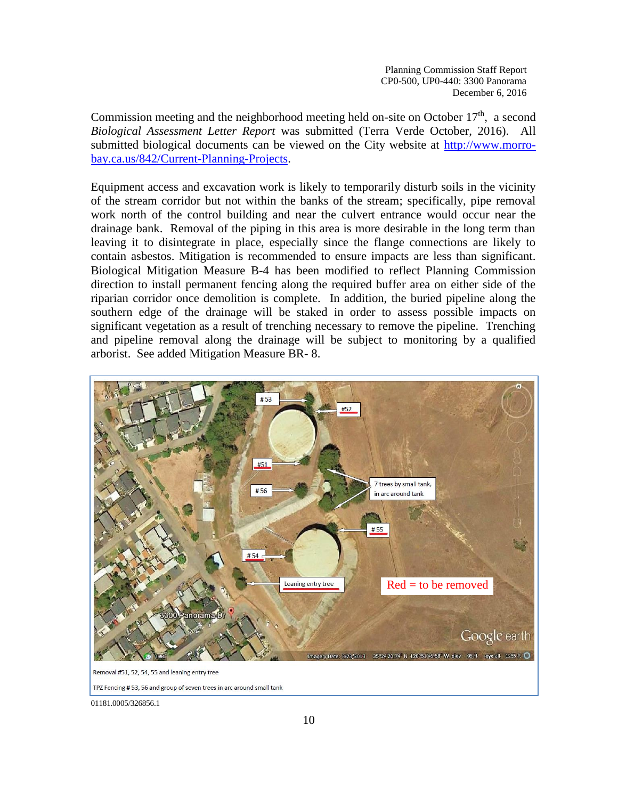Commission meeting and the neighborhood meeting held on-site on October  $17<sup>th</sup>$ , a second *Biological Assessment Letter Report* was submitted (Terra Verde October, 2016). All submitted biological documents can be viewed on the City website at [http://www.morro](http://www.morro-bay.ca.us/842/Current-Planning-Projects)[bay.ca.us/842/Current-Planning-Projects.](http://www.morro-bay.ca.us/842/Current-Planning-Projects)

Equipment access and excavation work is likely to temporarily disturb soils in the vicinity of the stream corridor but not within the banks of the stream; specifically, pipe removal work north of the control building and near the culvert entrance would occur near the drainage bank. Removal of the piping in this area is more desirable in the long term than leaving it to disintegrate in place, especially since the flange connections are likely to contain asbestos. Mitigation is recommended to ensure impacts are less than significant. Biological Mitigation Measure B-4 has been modified to reflect Planning Commission direction to install permanent fencing along the required buffer area on either side of the riparian corridor once demolition is complete. In addition, the buried pipeline along the southern edge of the drainage will be staked in order to assess possible impacts on significant vegetation as a result of trenching necessary to remove the pipeline. Trenching and pipeline removal along the drainage will be subject to monitoring by a qualified arborist. See added Mitigation Measure BR- 8.



TPZ Fencing #53, 56 and group of seven trees in arc around small tank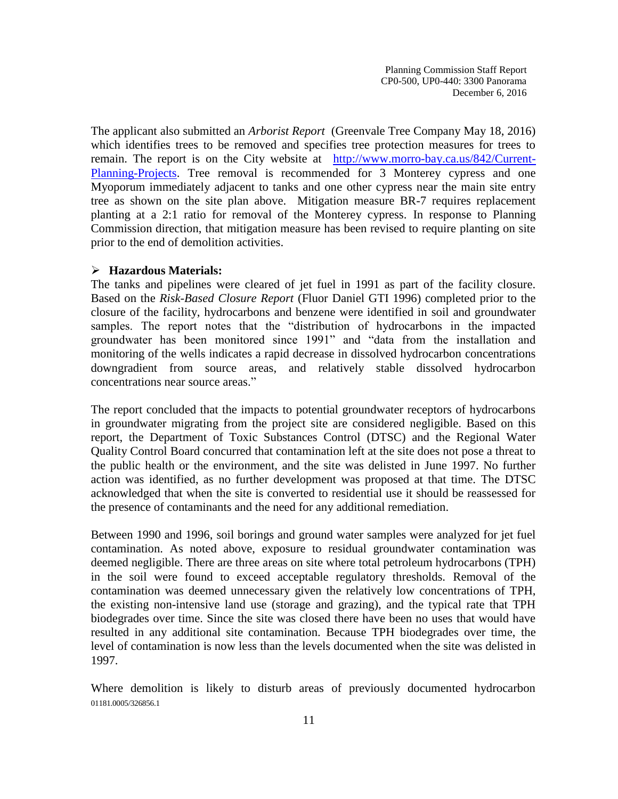The applicant also submitted an *Arborist Report* (Greenvale Tree Company May 18, 2016) which identifies trees to be removed and specifies tree protection measures for trees to remain. The report is on the City website at [http://www.morro-bay.ca.us/842/Current-](http://www.morro-bay.ca.us/842/Current-Planning-Projects)[Planning-Projects.](http://www.morro-bay.ca.us/842/Current-Planning-Projects) Tree removal is recommended for 3 Monterey cypress and one Myoporum immediately adjacent to tanks and one other cypress near the main site entry tree as shown on the site plan above. Mitigation measure BR-7 requires replacement planting at a 2:1 ratio for removal of the Monterey cypress. In response to Planning Commission direction, that mitigation measure has been revised to require planting on site prior to the end of demolition activities.

#### **Hazardous Materials:**

The tanks and pipelines were cleared of jet fuel in 1991 as part of the facility closure. Based on the *Risk-Based Closure Report* (Fluor Daniel GTI 1996) completed prior to the closure of the facility, hydrocarbons and benzene were identified in soil and groundwater samples. The report notes that the "distribution of hydrocarbons in the impacted groundwater has been monitored since 1991" and "data from the installation and monitoring of the wells indicates a rapid decrease in dissolved hydrocarbon concentrations downgradient from source areas, and relatively stable dissolved hydrocarbon concentrations near source areas."

The report concluded that the impacts to potential groundwater receptors of hydrocarbons in groundwater migrating from the project site are considered negligible. Based on this report, the Department of Toxic Substances Control (DTSC) and the Regional Water Quality Control Board concurred that contamination left at the site does not pose a threat to the public health or the environment, and the site was delisted in June 1997. No further action was identified, as no further development was proposed at that time. The DTSC acknowledged that when the site is converted to residential use it should be reassessed for the presence of contaminants and the need for any additional remediation.

Between 1990 and 1996, soil borings and ground water samples were analyzed for jet fuel contamination. As noted above, exposure to residual groundwater contamination was deemed negligible. There are three areas on site where total petroleum hydrocarbons (TPH) in the soil were found to exceed acceptable regulatory thresholds. Removal of the contamination was deemed unnecessary given the relatively low concentrations of TPH, the existing non-intensive land use (storage and grazing), and the typical rate that TPH biodegrades over time. Since the site was closed there have been no uses that would have resulted in any additional site contamination. Because TPH biodegrades over time, the level of contamination is now less than the levels documented when the site was delisted in 1997.

01181.0005/326856.1 Where demolition is likely to disturb areas of previously documented hydrocarbon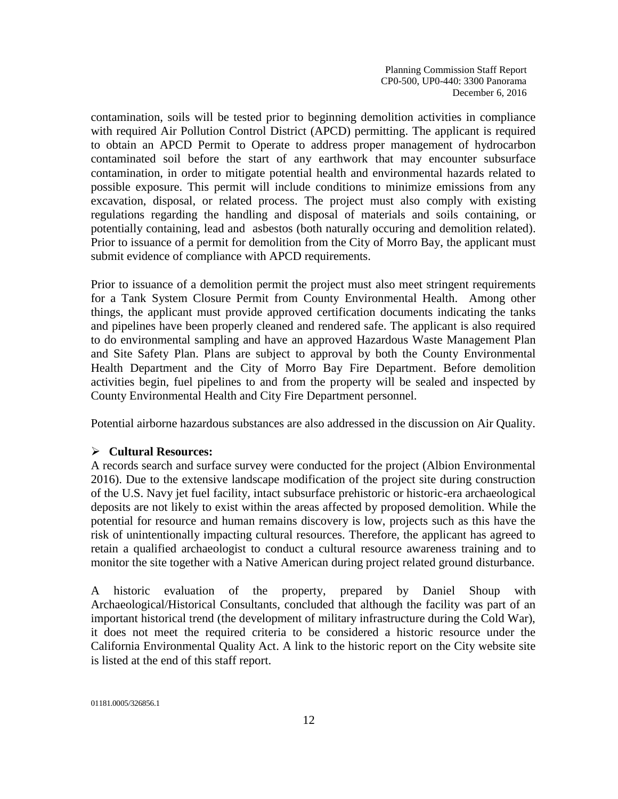contamination, soils will be tested prior to beginning demolition activities in compliance with required Air Pollution Control District (APCD) permitting. The applicant is required to obtain an APCD Permit to Operate to address proper management of hydrocarbon contaminated soil before the start of any earthwork that may encounter subsurface contamination, in order to mitigate potential health and environmental hazards related to possible exposure. This permit will include conditions to minimize emissions from any excavation, disposal, or related process. The project must also comply with existing regulations regarding the handling and disposal of materials and soils containing, or potentially containing, lead and asbestos (both naturally occuring and demolition related). Prior to issuance of a permit for demolition from the City of Morro Bay, the applicant must submit evidence of compliance with APCD requirements.

Prior to issuance of a demolition permit the project must also meet stringent requirements for a Tank System Closure Permit from County Environmental Health. Among other things, the applicant must provide approved certification documents indicating the tanks and pipelines have been properly cleaned and rendered safe. The applicant is also required to do environmental sampling and have an approved Hazardous Waste Management Plan and Site Safety Plan. Plans are subject to approval by both the County Environmental Health Department and the City of Morro Bay Fire Department. Before demolition activities begin, fuel pipelines to and from the property will be sealed and inspected by County Environmental Health and City Fire Department personnel.

Potential airborne hazardous substances are also addressed in the discussion on Air Quality.

# **Cultural Resources:**

A records search and surface survey were conducted for the project (Albion Environmental 2016). Due to the extensive landscape modification of the project site during construction of the U.S. Navy jet fuel facility, intact subsurface prehistoric or historic-era archaeological deposits are not likely to exist within the areas affected by proposed demolition. While the potential for resource and human remains discovery is low, projects such as this have the risk of unintentionally impacting cultural resources. Therefore, the applicant has agreed to retain a qualified archaeologist to conduct a cultural resource awareness training and to monitor the site together with a Native American during project related ground disturbance.

A historic evaluation of the property, prepared by Daniel Shoup with Archaeological/Historical Consultants, concluded that although the facility was part of an important historical trend (the development of military infrastructure during the Cold War), it does not meet the required criteria to be considered a historic resource under the California Environmental Quality Act. A link to the historic report on the City website site is listed at the end of this staff report.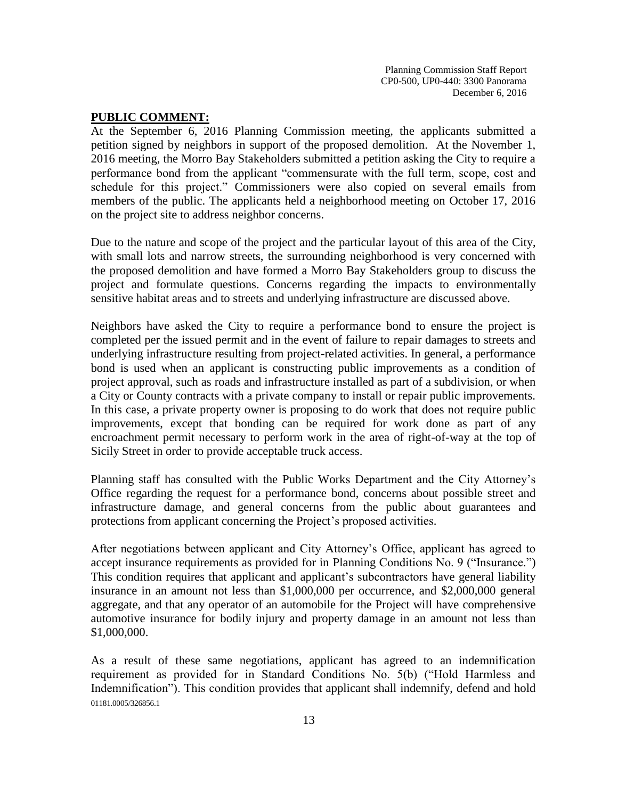#### **PUBLIC COMMENT:**

At the September 6, 2016 Planning Commission meeting, the applicants submitted a petition signed by neighbors in support of the proposed demolition. At the November 1, 2016 meeting, the Morro Bay Stakeholders submitted a petition asking the City to require a performance bond from the applicant "commensurate with the full term, scope, cost and schedule for this project." Commissioners were also copied on several emails from members of the public. The applicants held a neighborhood meeting on October 17, 2016 on the project site to address neighbor concerns.

Due to the nature and scope of the project and the particular layout of this area of the City, with small lots and narrow streets, the surrounding neighborhood is very concerned with the proposed demolition and have formed a Morro Bay Stakeholders group to discuss the project and formulate questions. Concerns regarding the impacts to environmentally sensitive habitat areas and to streets and underlying infrastructure are discussed above.

Neighbors have asked the City to require a performance bond to ensure the project is completed per the issued permit and in the event of failure to repair damages to streets and underlying infrastructure resulting from project-related activities. In general, a performance bond is used when an applicant is constructing public improvements as a condition of project approval, such as roads and infrastructure installed as part of a subdivision, or when a City or County contracts with a private company to install or repair public improvements. In this case, a private property owner is proposing to do work that does not require public improvements, except that bonding can be required for work done as part of any encroachment permit necessary to perform work in the area of right-of-way at the top of Sicily Street in order to provide acceptable truck access.

Planning staff has consulted with the Public Works Department and the City Attorney's Office regarding the request for a performance bond, concerns about possible street and infrastructure damage, and general concerns from the public about guarantees and protections from applicant concerning the Project's proposed activities.

After negotiations between applicant and City Attorney's Office, applicant has agreed to accept insurance requirements as provided for in Planning Conditions No. 9 ("Insurance.") This condition requires that applicant and applicant's subcontractors have general liability insurance in an amount not less than \$1,000,000 per occurrence, and \$2,000,000 general aggregate, and that any operator of an automobile for the Project will have comprehensive automotive insurance for bodily injury and property damage in an amount not less than \$1,000,000.

01181.0005/326856.1 As a result of these same negotiations, applicant has agreed to an indemnification requirement as provided for in Standard Conditions No. 5(b) ("Hold Harmless and Indemnification"). This condition provides that applicant shall indemnify, defend and hold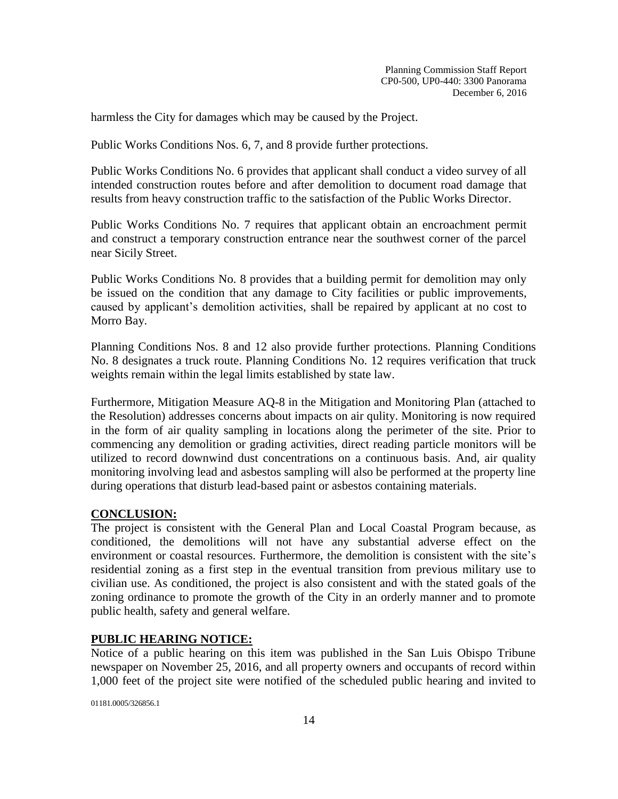harmless the City for damages which may be caused by the Project.

Public Works Conditions Nos. 6, 7, and 8 provide further protections.

Public Works Conditions No. 6 provides that applicant shall conduct a video survey of all intended construction routes before and after demolition to document road damage that results from heavy construction traffic to the satisfaction of the Public Works Director.

Public Works Conditions No. 7 requires that applicant obtain an encroachment permit and construct a temporary construction entrance near the southwest corner of the parcel near Sicily Street.

Public Works Conditions No. 8 provides that a building permit for demolition may only be issued on the condition that any damage to City facilities or public improvements, caused by applicant's demolition activities, shall be repaired by applicant at no cost to Morro Bay.

Planning Conditions Nos. 8 and 12 also provide further protections. Planning Conditions No. 8 designates a truck route. Planning Conditions No. 12 requires verification that truck weights remain within the legal limits established by state law.

Furthermore, Mitigation Measure AQ-8 in the Mitigation and Monitoring Plan (attached to the Resolution) addresses concerns about impacts on air qulity. Monitoring is now required in the form of air quality sampling in locations along the perimeter of the site. Prior to commencing any demolition or grading activities, direct reading particle monitors will be utilized to record downwind dust concentrations on a continuous basis. And, air quality monitoring involving lead and asbestos sampling will also be performed at the property line during operations that disturb lead-based paint or asbestos containing materials.

# **CONCLUSION:**

The project is consistent with the General Plan and Local Coastal Program because, as conditioned, the demolitions will not have any substantial adverse effect on the environment or coastal resources. Furthermore, the demolition is consistent with the site's residential zoning as a first step in the eventual transition from previous military use to civilian use. As conditioned, the project is also consistent and with the stated goals of the zoning ordinance to promote the growth of the City in an orderly manner and to promote public health, safety and general welfare.

# **PUBLIC HEARING NOTICE:**

Notice of a public hearing on this item was published in the San Luis Obispo Tribune newspaper on November 25, 2016, and all property owners and occupants of record within 1,000 feet of the project site were notified of the scheduled public hearing and invited to